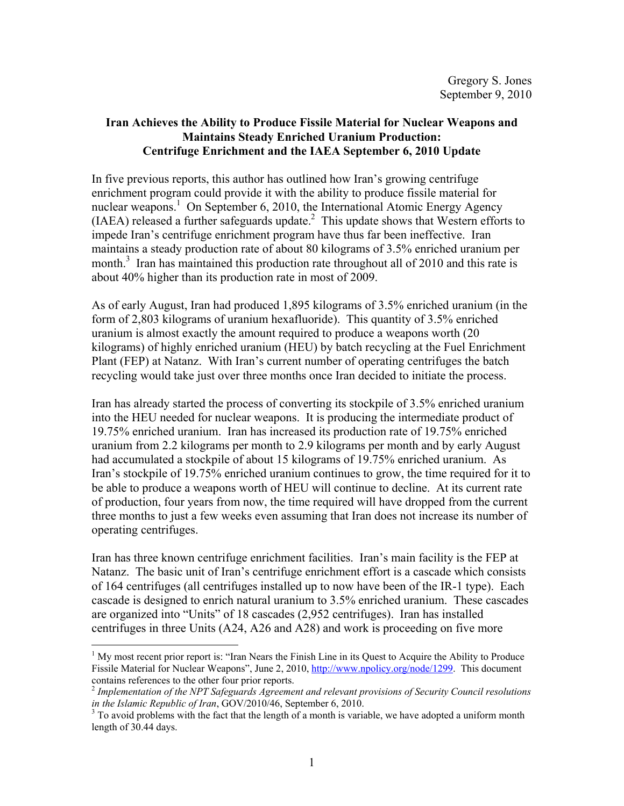# **Iran Achieves the Ability to Produce Fissile Material for Nuclear Weapons and Maintains Steady Enriched Uranium Production: Centrifuge Enrichment and the IAEA September 6, 2010 Update**

In five previous reports, this author has outlined how Iran's growing centrifuge enrichment program could provide it with the ability to produce fissile material for nuclear weapons.<sup>1</sup> On September 6, 2010, the International Atomic Energy Agency  $(IAEA)$  released a further safeguards update. $^2$  This update shows that Western efforts to impede Iran's centrifuge enrichment program have thus far been ineffective. Iran maintains a steady production rate of about 80 kilograms of 3.5% enriched uranium per month.<sup>3</sup> Iran has maintained this production rate throughout all of 2010 and this rate is about 40% higher than its production rate in most of 2009.

As of early August, Iran had produced 1,895 kilograms of 3.5% enriched uranium (in the form of 2,803 kilograms of uranium hexafluoride). This quantity of 3.5% enriched uranium is almost exactly the amount required to produce a weapons worth (20 kilograms) of highly enriched uranium (HEU) by batch recycling at the Fuel Enrichment Plant (FEP) at Natanz. With Iran's current number of operating centrifuges the batch recycling would take just over three months once Iran decided to initiate the process.

Iran has already started the process of converting its stockpile of 3.5% enriched uranium into the HEU needed for nuclear weapons. It is producing the intermediate product of 19.75% enriched uranium. Iran has increased its production rate of 19.75% enriched uranium from 2.2 kilograms per month to 2.9 kilograms per month and by early August had accumulated a stockpile of about 15 kilograms of 19.75% enriched uranium. As Iran's stockpile of 19.75% enriched uranium continues to grow, the time required for it to be able to produce a weapons worth of HEU will continue to decline. At its current rate of production, four years from now, the time required will have dropped from the current three months to just a few weeks even assuming that Iran does not increase its number of operating centrifuges.

Iran has three known centrifuge enrichment facilities. Iran's main facility is the FEP at Natanz. The basic unit of Iran's centrifuge enrichment effort is a cascade which consists of 164 centrifuges (all centrifuges installed up to now have been of the IR-1 type). Each cascade is designed to enrich natural uranium to 3.5% enriched uranium. These cascades are organized into "Units" of 18 cascades (2,952 centrifuges). Iran has installed centrifuges in three Units (A24, A26 and A28) and work is proceeding on five more

 $<sup>1</sup>$  My most recent prior report is: "Iran Nears the Finish Line in its Quest to Acquire the Ability to Produce</sup> Fissile Material for Nuclear Weapons", June 2, 2010, http://www.npolicy.org/node/1299. This document contains references to the other four prior reports.

<sup>2</sup> *Implementation of the NPT Safeguards Agreement and relevant provisions of Security Council resolutions in the Islamic Republic of Iran, GOV/2010/46, September 6, 2010.* 

<sup>&</sup>lt;sup>3</sup> To avoid problems with the fact that the length of a month is variable, we have adopted a uniform month length of 30.44 days.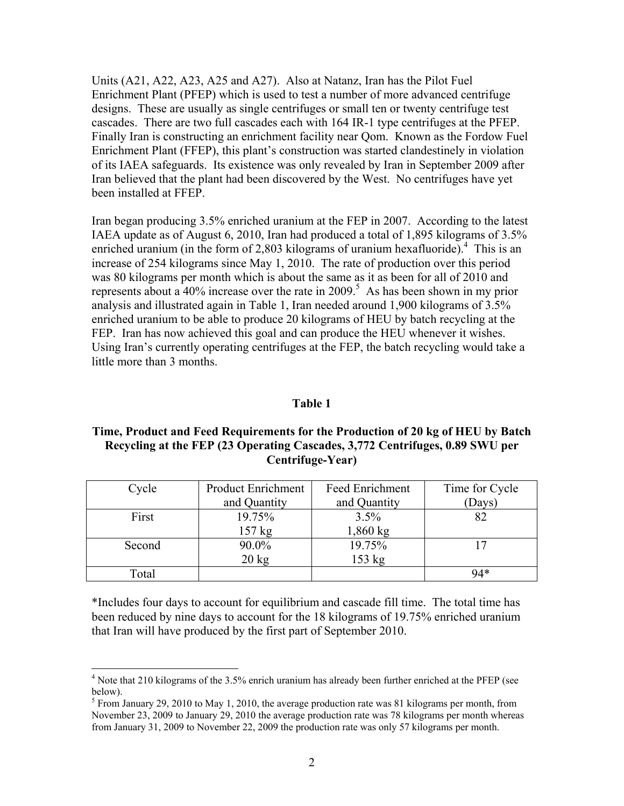Units (A21, A22, A23, A25 and A27). Also at Natanz, Iran has the Pilot Fuel Enrichment Plant (PFEP) which is used to test a number of more advanced centrifuge designs. These are usually as single centrifuges or small ten or twenty centrifuge test cascades. There are two full cascades each with 164 IR-1 type centrifuges at the PFEP. Finally Iran is constructing an enrichment facility near Qom. Known as the Fordow Fuel Enrichment Plant (FFEP), this plant's construction was started clandestinely in violation of its IAEA safeguards. Its existence was only revealed by Iran in September 2009 after Iran believed that the plant had been discovered by the West. No centrifuges have yet been installed at FFEP.

Iran began producing 3.5% enriched uranium at the FEP in 2007. According to the latest IAEA update as of August 6, 2010, Iran had produced a total of 1,895 kilograms of 3.5% enriched uranium (in the form of 2,803 kilograms of uranium hexafluoride).<sup>4</sup> This is an increase of 254 kilograms since May 1, 2010. The rate of production over this period was 80 kilograms per month which is about the same as it as been for all of 2010 and represents about a 40% increase over the rate in 2009.<sup>5</sup> As has been shown in my prior analysis and illustrated again in Table 1, Iran needed around 1,900 kilograms of 3.5% enriched uranium to be able to produce 20 kilograms of HEU by batch recycling at the FEP. Iran has now achieved this goal and can produce the HEU whenever it wishes. Using Iran's currently operating centrifuges at the FEP, the batch recycling would take a little more than 3 months.

#### **Table 1**

## **Time, Product and Feed Requirements for the Production of 20 kg of HEU by Batch Recycling at the FEP (23 Operating Cascades, 3,772 Centrifuges, 0.89 SWU per Centrifuge-Year)**

| Cycle  | <b>Product Enrichment</b> | Feed Enrichment | Time for Cycle |
|--------|---------------------------|-----------------|----------------|
|        | and Quantity              | and Quantity    | (Days)         |
| First  | 19.75%                    | 3.5%            |                |
|        | $157$ kg                  | $1,860$ kg      |                |
| Second | 90.0%                     | 19.75%          |                |
|        | $20 \text{ kg}$           | 153 kg          |                |
| Total  |                           |                 | $94*$          |

\*Includes four days to account for equilibrium and cascade fill time. The total time has been reduced by nine days to account for the 18 kilograms of 19.75% enriched uranium that Iran will have produced by the first part of September 2010.

 4 Note that 210 kilograms of the 3.5% enrich uranium has already been further enriched at the PFEP (see below).

<sup>&</sup>lt;sup>5</sup> From January 29, 2010 to May 1, 2010, the average production rate was 81 kilograms per month, from November 23, 2009 to January 29, 2010 the average production rate was 78 kilograms per month whereas from January 31, 2009 to November 22, 2009 the production rate was only 57 kilograms per month.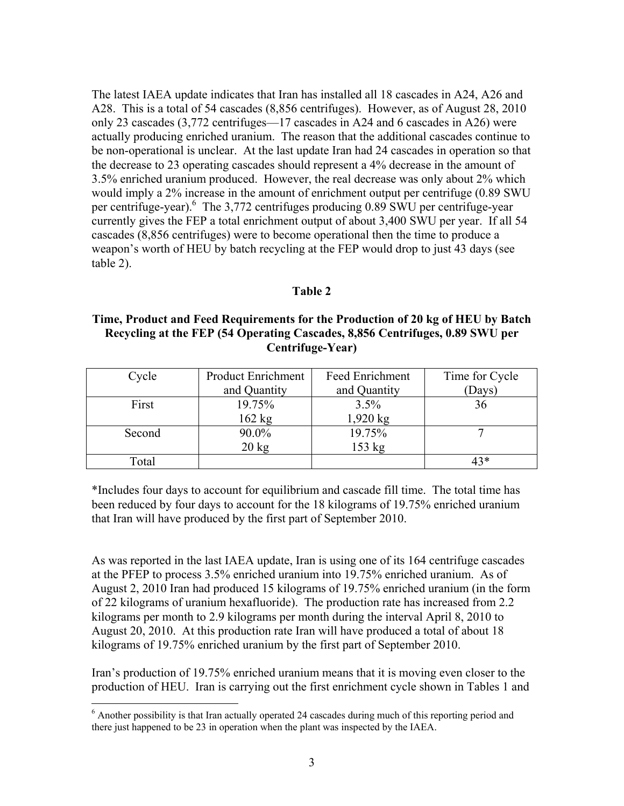The latest IAEA update indicates that Iran has installed all 18 cascades in A24, A26 and A28. This is a total of 54 cascades (8,856 centrifuges). However, as of August 28, 2010 only 23 cascades (3,772 centrifuges—17 cascades in A24 and 6 cascades in A26) were actually producing enriched uranium. The reason that the additional cascades continue to be non-operational is unclear. At the last update Iran had 24 cascades in operation so that the decrease to 23 operating cascades should represent a 4% decrease in the amount of 3.5% enriched uranium produced. However, the real decrease was only about 2% which would imply a 2% increase in the amount of enrichment output per centrifuge (0.89 SWU per centrifuge-year). <sup>6</sup> The 3,772 centrifuges producing 0.89 SWU per centrifuge-year currently gives the FEP a total enrichment output of about 3,400 SWU per year. If all 54 cascades (8,856 centrifuges) were to become operational then the time to produce a weapon's worth of HEU by batch recycling at the FEP would drop to just 43 days (see table 2).

## **Table 2**

### **Time, Product and Feed Requirements for the Production of 20 kg of HEU by Batch Recycling at the FEP (54 Operating Cascades, 8,856 Centrifuges, 0.89 SWU per Centrifuge-Year)**

| Cycle  | <b>Product Enrichment</b> | Feed Enrichment  | Time for Cycle |
|--------|---------------------------|------------------|----------------|
|        | and Quantity              | and Quantity     | Days)          |
| First  | 19.75%                    | 3.5%             | 36             |
|        | $162$ kg                  | $1,920$ kg       |                |
| Second | 90.0%                     | 19.75%           |                |
|        | $20 \text{ kg}$           | $153 \text{ kg}$ |                |
| Гоtal  |                           |                  | 43*            |

\*Includes four days to account for equilibrium and cascade fill time. The total time has been reduced by four days to account for the 18 kilograms of 19.75% enriched uranium that Iran will have produced by the first part of September 2010.

As was reported in the last IAEA update, Iran is using one of its 164 centrifuge cascades at the PFEP to process 3.5% enriched uranium into 19.75% enriched uranium. As of August 2, 2010 Iran had produced 15 kilograms of 19.75% enriched uranium (in the form of 22 kilograms of uranium hexafluoride). The production rate has increased from 2.2 kilograms per month to 2.9 kilograms per month during the interval April 8, 2010 to August 20, 2010. At this production rate Iran will have produced a total of about 18 kilograms of 19.75% enriched uranium by the first part of September 2010.

Iran's production of 19.75% enriched uranium means that it is moving even closer to the production of HEU. Iran is carrying out the first enrichment cycle shown in Tables 1 and

<sup>&</sup>lt;sup>6</sup> Another possibility is that Iran actually operated 24 cascades during much of this reporting period and there just happened to be 23 in operation when the plant was inspected by the IAEA.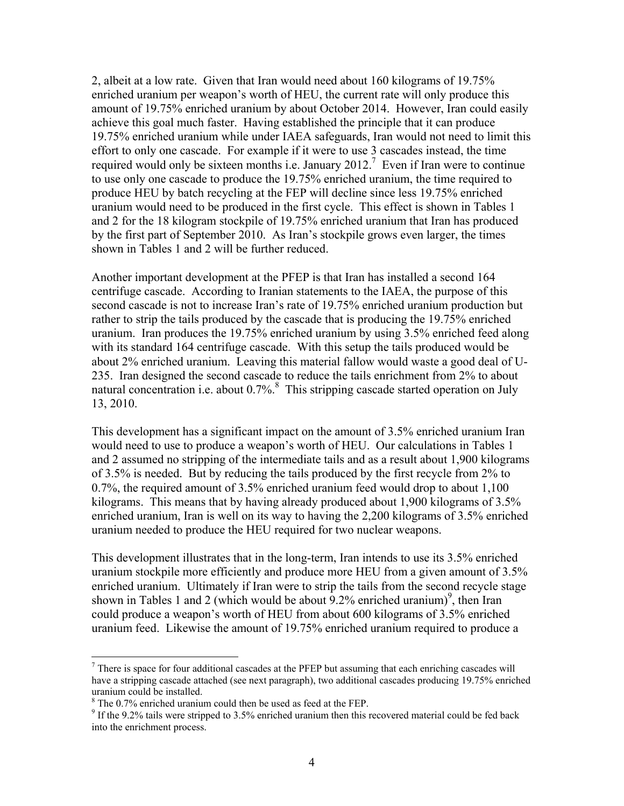2, albeit at a low rate. Given that Iran would need about 160 kilograms of 19.75% enriched uranium per weapon's worth of HEU, the current rate will only produce this amount of 19.75% enriched uranium by about October 2014. However, Iran could easily achieve this goal much faster. Having established the principle that it can produce 19.75% enriched uranium while under IAEA safeguards, Iran would not need to limit this effort to only one cascade. For example if it were to use 3 cascades instead, the time required would only be sixteen months i.e. January 2012.<sup>7</sup> Even if Iran were to continue to use only one cascade to produce the 19.75% enriched uranium, the time required to produce HEU by batch recycling at the FEP will decline since less 19.75% enriched uranium would need to be produced in the first cycle. This effect is shown in Tables 1 and 2 for the 18 kilogram stockpile of 19.75% enriched uranium that Iran has produced by the first part of September 2010. As Iran's stockpile grows even larger, the times shown in Tables 1 and 2 will be further reduced.

Another important development at the PFEP is that Iran has installed a second 164 centrifuge cascade. According to Iranian statements to the IAEA, the purpose of this second cascade is not to increase Iran's rate of 19.75% enriched uranium production but rather to strip the tails produced by the cascade that is producing the 19.75% enriched uranium. Iran produces the 19.75% enriched uranium by using 3.5% enriched feed along with its standard 164 centrifuge cascade. With this setup the tails produced would be about 2% enriched uranium. Leaving this material fallow would waste a good deal of U-235. Iran designed the second cascade to reduce the tails enrichment from 2% to about natural concentration i.e. about 0.7%.<sup>8</sup> This stripping cascade started operation on July 13, 2010.

This development has a significant impact on the amount of 3.5% enriched uranium Iran would need to use to produce a weapon's worth of HEU. Our calculations in Tables 1 and 2 assumed no stripping of the intermediate tails and as a result about 1,900 kilograms of 3.5% is needed. But by reducing the tails produced by the first recycle from 2% to 0.7%, the required amount of 3.5% enriched uranium feed would drop to about 1,100 kilograms. This means that by having already produced about 1,900 kilograms of 3.5% enriched uranium, Iran is well on its way to having the 2,200 kilograms of 3.5% enriched uranium needed to produce the HEU required for two nuclear weapons.

This development illustrates that in the long-term, Iran intends to use its 3.5% enriched uranium stockpile more efficiently and produce more HEU from a given amount of 3.5% enriched uranium. Ultimately if Iran were to strip the tails from the second recycle stage shown in Tables 1 and 2 (which would be about  $9.2\%$  enriched uranium)<sup>9</sup>, then Iran could produce a weapon's worth of HEU from about 600 kilograms of 3.5% enriched uranium feed. Likewise the amount of 19.75% enriched uranium required to produce a

 $7$  There is space for four additional cascades at the PFEP but assuming that each enriching cascades will have a stripping cascade attached (see next paragraph), two additional cascades producing 19.75% enriched uranium could be installed.

<sup>&</sup>lt;sup>8</sup> The 0.7% enriched uranium could then be used as feed at the FEP.

 $9$  If the 9.2% tails were stripped to 3.5% enriched uranium then this recovered material could be fed back into the enrichment process.